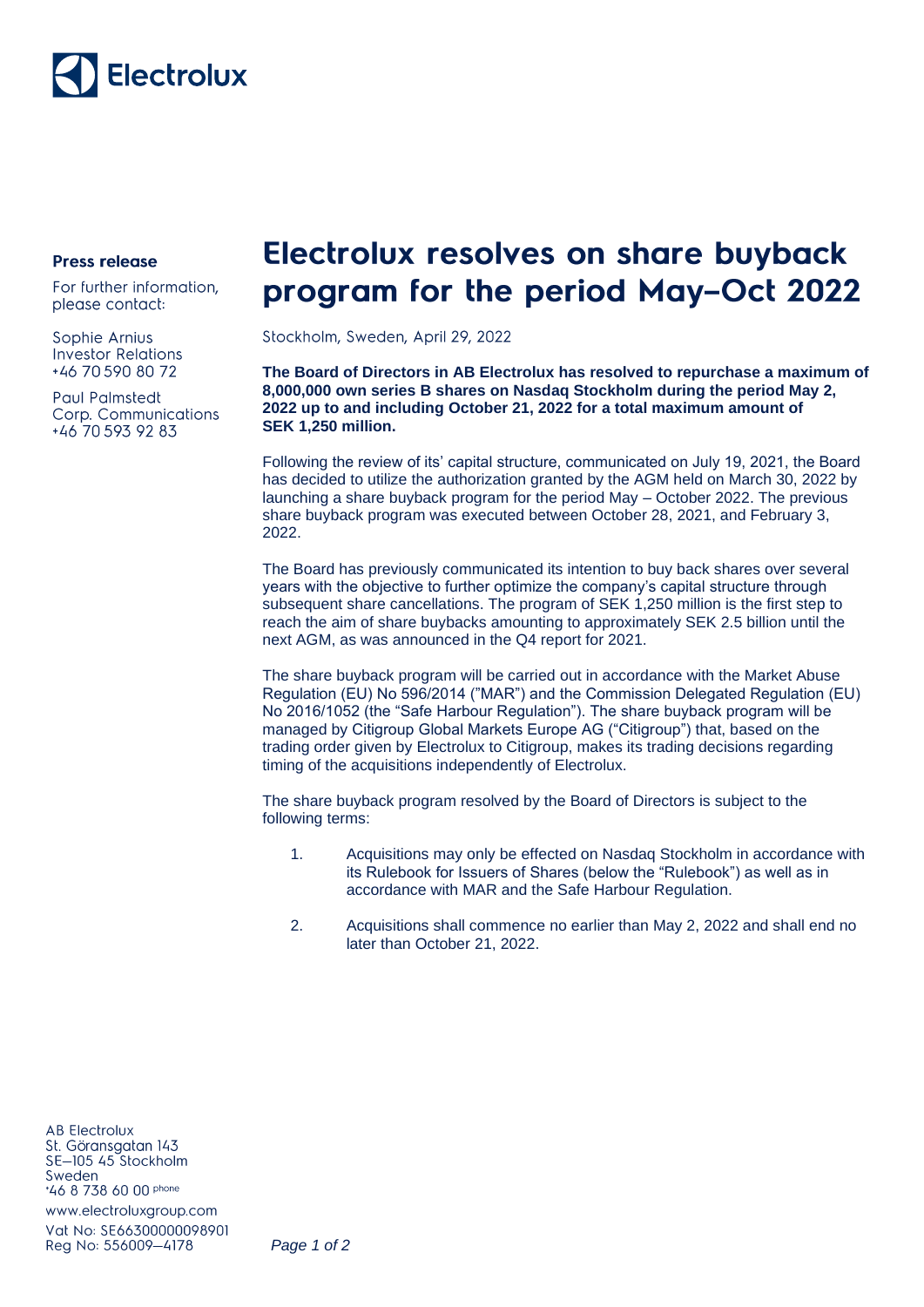

## **Press release**

For further information. please contact:

Sophie Arnius **Investor Relations** +46 70 590 80 72

**Paul Palmstedt** Corp. Communications +46 70 593 92 83

## **Electrolux resolves on share buyback** program for the period May-Oct 2022

Stockholm, Sweden, April 29, 2022

**The Board of Directors in AB Electrolux has resolved to repurchase a maximum of 8,000,000 own series B shares on Nasdaq Stockholm during the period May 2, 2022 up to and including October 21, 2022 for a total maximum amount of SEK 1,250 million.**

Following the review of its' capital structure, communicated on July 19, 2021, the Board has decided to utilize the authorization granted by the AGM held on March 30, 2022 by launching a share buyback program for the period May – October 2022. The previous share buyback program was executed between October 28, 2021, and February 3, 2022.

The Board has previously communicated its intention to buy back shares over several years with the objective to further optimize the company's capital structure through subsequent share cancellations. The program of SEK 1,250 million is the first step to reach the aim of share buybacks amounting to approximately SEK 2.5 billion until the next AGM, as was announced in the Q4 report for 2021.

The share buyback program will be carried out in accordance with the Market Abuse Regulation (EU) No 596/2014 ("MAR") and the Commission Delegated Regulation (EU) No 2016/1052 (the "Safe Harbour Regulation"). The share buyback program will be managed by Citigroup Global Markets Europe AG ("Citigroup") that, based on the trading order given by Electrolux to Citigroup, makes its trading decisions regarding timing of the acquisitions independently of Electrolux.

The share buyback program resolved by the Board of Directors is subject to the following terms:

- 1. Acquisitions may only be effected on Nasdaq Stockholm in accordance with its Rulebook for Issuers of Shares (below the "Rulebook") as well as in accordance with MAR and the Safe Harbour Regulation.
- 2. Acquisitions shall commence no earlier than May 2, 2022 and shall end no later than October 21, 2022.

**AB Electrolux** St. Göransgatan 143 SE-105 45 Stockholm Sweden \*46 8 738 60 00 phone www.electroluxgroup.com

Vat No: SE66300000098901 Reg No: 556009-4178